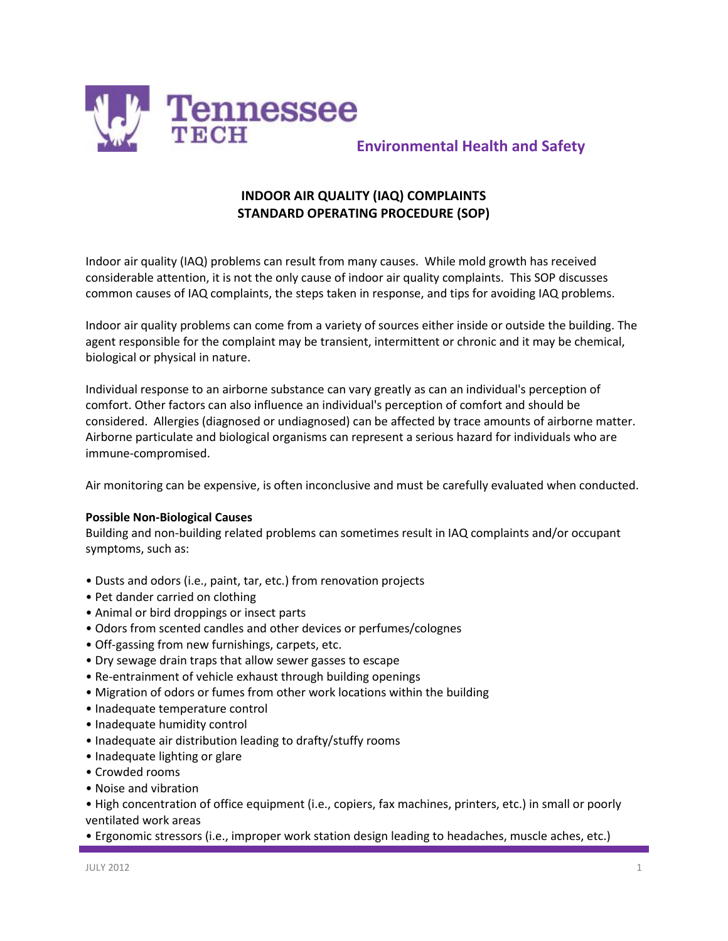

# **Environmental Health and Safety**

## **INDOOR AIR QUALITY (IAQ) COMPLAINTS STANDARD OPERATING PROCEDURE (SOP)**

Indoor air quality (IAQ) problems can result from many causes. While mold growth has received considerable attention, it is not the only cause of indoor air quality complaints. This SOP discusses common causes of IAQ complaints, the steps taken in response, and tips for avoiding IAQ problems.

Indoor air quality problems can come from a variety of sources either inside or outside the building. The agent responsible for the complaint may be transient, intermittent or chronic and it may be chemical, biological or physical in nature.

Individual response to an airborne substance can vary greatly as can an individual's perception of comfort. Other factors can also influence an individual's perception of comfort and should be considered. Allergies (diagnosed or undiagnosed) can be affected by trace amounts of airborne matter. Airborne particulate and biological organisms can represent a serious hazard for individuals who are immune-compromised.

Air monitoring can be expensive, is often inconclusive and must be carefully evaluated when conducted.

#### **Possible Non-Biological Causes**

Building and non-building related problems can sometimes result in IAQ complaints and/or occupant symptoms, such as:

- Dusts and odors (i.e., paint, tar, etc.) from renovation projects
- Pet dander carried on clothing
- Animal or bird droppings or insect parts
- Odors from scented candles and other devices or perfumes/colognes
- Off-gassing from new furnishings, carpets, etc.
- Dry sewage drain traps that allow sewer gasses to escape
- Re-entrainment of vehicle exhaust through building openings
- Migration of odors or fumes from other work locations within the building
- Inadequate temperature control
- Inadequate humidity control
- Inadequate air distribution leading to drafty/stuffy rooms
- Inadequate lighting or glare
- Crowded rooms
- Noise and vibration

• High concentration of office equipment (i.e., copiers, fax machines, printers, etc.) in small or poorly ventilated work areas

• Ergonomic stressors (i.e., improper work station design leading to headaches, muscle aches, etc.)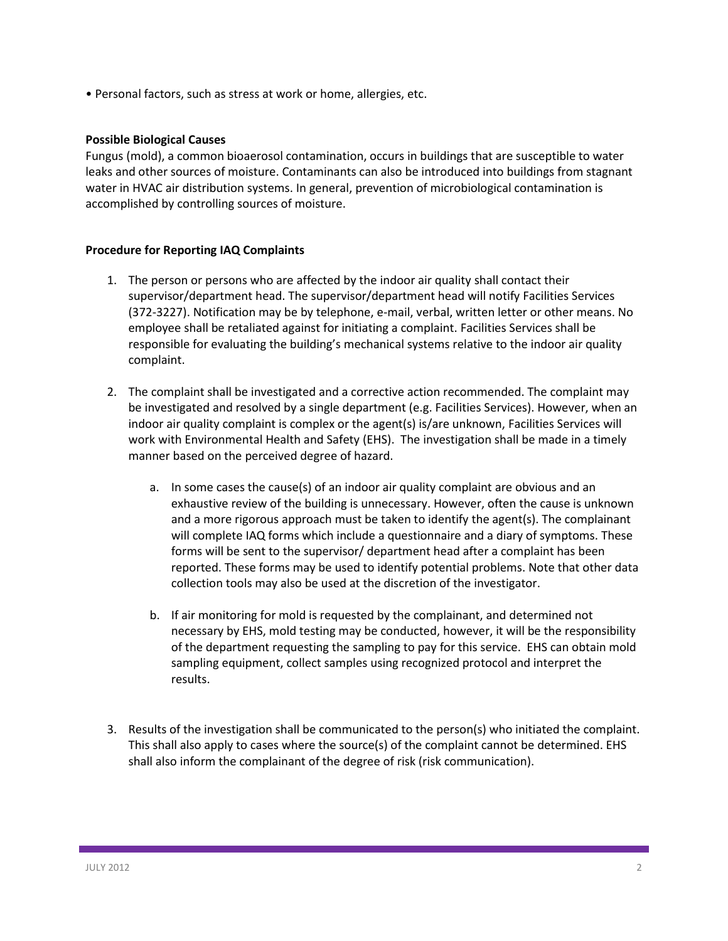• Personal factors, such as stress at work or home, allergies, etc.

### **Possible Biological Causes**

Fungus (mold), a common bioaerosol contamination, occurs in buildings that are susceptible to water leaks and other sources of moisture. Contaminants can also be introduced into buildings from stagnant water in HVAC air distribution systems. In general, prevention of microbiological contamination is accomplished by controlling sources of moisture.

### **Procedure for Reporting IAQ Complaints**

- 1. The person or persons who are affected by the indoor air quality shall contact their supervisor/department head. The supervisor/department head will notify Facilities Services (372-3227). Notification may be by telephone, e-mail, verbal, written letter or other means. No employee shall be retaliated against for initiating a complaint. Facilities Services shall be responsible for evaluating the building's mechanical systems relative to the indoor air quality complaint.
- 2. The complaint shall be investigated and a corrective action recommended. The complaint may be investigated and resolved by a single department (e.g. Facilities Services). However, when an indoor air quality complaint is complex or the agent(s) is/are unknown, Facilities Services will work with Environmental Health and Safety (EHS). The investigation shall be made in a timely manner based on the perceived degree of hazard.
	- a. In some cases the cause(s) of an indoor air quality complaint are obvious and an exhaustive review of the building is unnecessary. However, often the cause is unknown and a more rigorous approach must be taken to identify the agent(s). The complainant will complete IAQ forms which include a questionnaire and a diary of symptoms. These forms will be sent to the supervisor/ department head after a complaint has been reported. These forms may be used to identify potential problems. Note that other data collection tools may also be used at the discretion of the investigator.
	- b. If air monitoring for mold is requested by the complainant, and determined not necessary by EHS, mold testing may be conducted, however, it will be the responsibility of the department requesting the sampling to pay for this service. EHS can obtain mold sampling equipment, collect samples using recognized protocol and interpret the results.
- 3. Results of the investigation shall be communicated to the person(s) who initiated the complaint. This shall also apply to cases where the source(s) of the complaint cannot be determined. EHS shall also inform the complainant of the degree of risk (risk communication).